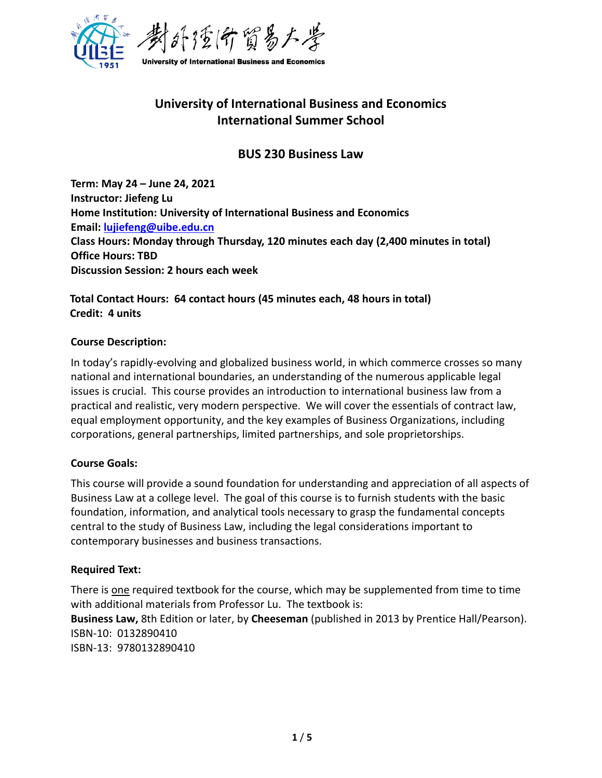

# **University of International Business and Economics International Summer School**

# **BUS 230 Business Law**

**Term: May 24 – June 24, 2021 Instructor: Jiefeng Lu Home Institution: University of International Business and Economics Email: [lujiefeng@uibe.edu.cn](mailto:lujiefeng@uibe.edu.cn) Class Hours: Monday through Thursday, 120 minutes each day (2,400 minutes in total) Office Hours: TBD Discussion Session: 2 hours each week** 

# **Total Contact Hours: 64 contact hours (45 minutes each, 48 hours in total) Credit: 4 units**

### **Course Description:**

In today's rapidly-evolving and globalized business world, in which commerce crosses so many national and international boundaries, an understanding of the numerous applicable legal issues is crucial. This course provides an introduction to international business law from a practical and realistic, very modern perspective. We will cover the essentials of contract law, equal employment opportunity, and the key examples of Business Organizations, including corporations, general partnerships, limited partnerships, and sole proprietorships.

#### **Course Goals:**

This course will provide a sound foundation for understanding and appreciation of all aspects of Business Law at a college level. The goal of this course is to furnish students with the basic foundation, information, and analytical tools necessary to grasp the fundamental concepts central to the study of Business Law, including the legal considerations important to contemporary businesses and business transactions.

#### **Required Text:**

There is one required textbook for the course, which may be supplemented from time to time with additional materials from Professor Lu. The textbook is: **Business Law,** 8th Edition or later, by **Cheeseman** (published in 2013 by Prentice Hall/Pearson). ISBN-10: 0132890410 ISBN-13: 9780132890410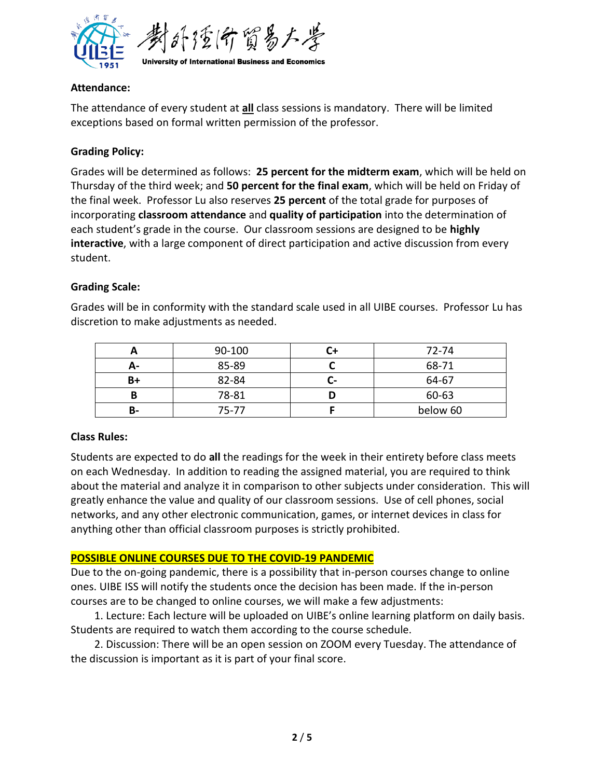

#### **Attendance:**

The attendance of every student at **all** class sessions is mandatory. There will be limited exceptions based on formal written permission of the professor.

# **Grading Policy:**

Grades will be determined as follows: **25 percent for the midterm exam**, which will be held on Thursday of the third week; and **50 percent for the final exam**, which will be held on Friday of the final week. Professor Lu also reserves **25 percent** of the total grade for purposes of incorporating **classroom attendance** and **quality of participation** into the determination of each student's grade in the course. Our classroom sessions are designed to be **highly interactive**, with a large component of direct participation and active discussion from every student.

### **Grading Scale:**

Grades will be in conformity with the standard scale used in all UIBE courses. Professor Lu has discretion to make adjustments as needed.

|    | 90-100    |    | 72-74    |
|----|-----------|----|----------|
| А- | 85-89     |    | 68-71    |
| B+ | 82-84     | л. | 64-67    |
| B  | 78-81     |    | 60-63    |
| В- | $75 - 77$ |    | below 60 |

#### **Class Rules:**

Students are expected to do **all** the readings for the week in their entirety before class meets on each Wednesday. In addition to reading the assigned material, you are required to think about the material and analyze it in comparison to other subjects under consideration. This will greatly enhance the value and quality of our classroom sessions. Use of cell phones, social networks, and any other electronic communication, games, or internet devices in class for anything other than official classroom purposes is strictly prohibited.

#### **POSSIBLE ONLINE COURSES DUE TO THE COVID-19 PANDEMIC**

Due to the on-going pandemic, there is a possibility that in-person courses change to online ones. UIBE ISS will notify the students once the decision has been made. If the in-person courses are to be changed to online courses, we will make a few adjustments:

1. Lecture: Each lecture will be uploaded on UIBE's online learning platform on daily basis. Students are required to watch them according to the course schedule.

2. Discussion: There will be an open session on ZOOM every Tuesday. The attendance of the discussion is important as it is part of your final score.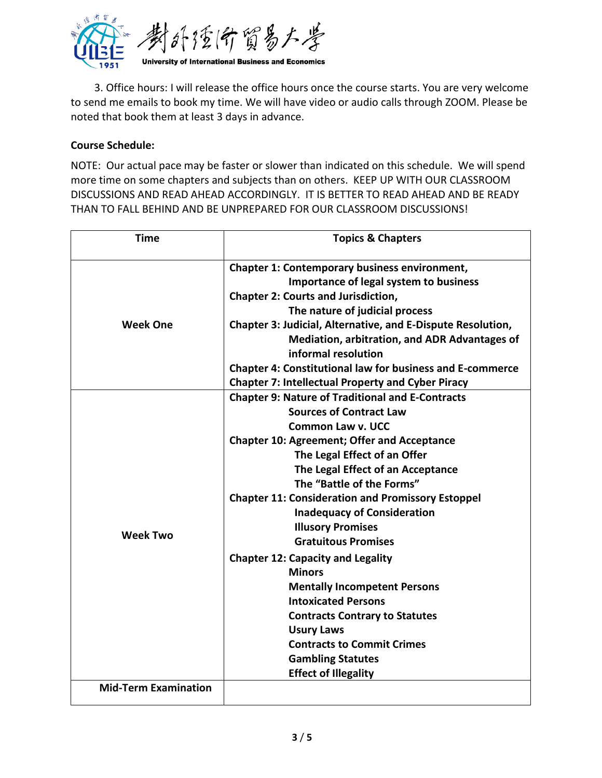

3. Office hours: I will release the office hours once the course starts. You are very welcome to send me emails to book my time. We will have video or audio calls through ZOOM. Please be noted that book them at least 3 days in advance.

# **Course Schedule:**

NOTE: Our actual pace may be faster or slower than indicated on this schedule. We will spend more time on some chapters and subjects than on others. KEEP UP WITH OUR CLASSROOM DISCUSSIONS AND READ AHEAD ACCORDINGLY. IT IS BETTER TO READ AHEAD AND BE READY THAN TO FALL BEHIND AND BE UNPREPARED FOR OUR CLASSROOM DISCUSSIONS!

| <b>Time</b>                 | <b>Topics &amp; Chapters</b>                                     |  |
|-----------------------------|------------------------------------------------------------------|--|
|                             | <b>Chapter 1: Contemporary business environment,</b>             |  |
|                             | Importance of legal system to business                           |  |
|                             | <b>Chapter 2: Courts and Jurisdiction,</b>                       |  |
|                             | The nature of judicial process                                   |  |
| <b>Week One</b>             | Chapter 3: Judicial, Alternative, and E-Dispute Resolution,      |  |
|                             | Mediation, arbitration, and ADR Advantages of                    |  |
|                             | informal resolution                                              |  |
|                             | <b>Chapter 4: Constitutional law for business and E-commerce</b> |  |
|                             | <b>Chapter 7: Intellectual Property and Cyber Piracy</b>         |  |
|                             | <b>Chapter 9: Nature of Traditional and E-Contracts</b>          |  |
|                             | <b>Sources of Contract Law</b>                                   |  |
|                             | Common Law v. UCC                                                |  |
|                             | <b>Chapter 10: Agreement; Offer and Acceptance</b>               |  |
|                             | The Legal Effect of an Offer                                     |  |
|                             | The Legal Effect of an Acceptance                                |  |
|                             | The "Battle of the Forms"                                        |  |
|                             | <b>Chapter 11: Consideration and Promissory Estoppel</b>         |  |
|                             | <b>Inadequacy of Consideration</b>                               |  |
| <b>Week Two</b>             | <b>Illusory Promises</b>                                         |  |
|                             | <b>Gratuitous Promises</b>                                       |  |
|                             | <b>Chapter 12: Capacity and Legality</b>                         |  |
|                             | <b>Minors</b>                                                    |  |
|                             | <b>Mentally Incompetent Persons</b>                              |  |
|                             | <b>Intoxicated Persons</b>                                       |  |
|                             | <b>Contracts Contrary to Statutes</b>                            |  |
|                             | <b>Usury Laws</b>                                                |  |
|                             | <b>Contracts to Commit Crimes</b>                                |  |
|                             | <b>Gambling Statutes</b>                                         |  |
|                             | <b>Effect of Illegality</b>                                      |  |
| <b>Mid-Term Examination</b> |                                                                  |  |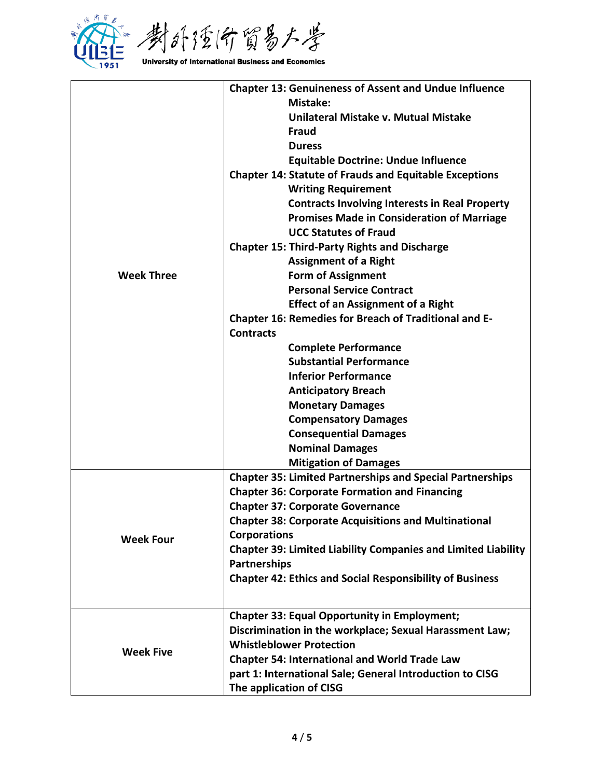

| <b>Chapter 13: Genuineness of Assent and Undue Influence</b><br>Mistake:<br>Unilateral Mistake v. Mutual Mistake<br><b>Fraud</b><br><b>Duress</b><br><b>Equitable Doctrine: Undue Influence</b><br><b>Chapter 14: Statute of Frauds and Equitable Exceptions</b><br><b>Writing Requirement</b><br><b>Contracts Involving Interests in Real Property</b><br><b>Promises Made in Consideration of Marriage</b><br><b>UCC Statutes of Fraud</b><br><b>Chapter 15: Third-Party Rights and Discharge</b><br><b>Assignment of a Right</b><br><b>Form of Assignment</b><br><b>Week Three</b><br><b>Personal Service Contract</b><br><b>Effect of an Assignment of a Right</b><br><b>Chapter 16: Remedies for Breach of Traditional and E-</b><br><b>Contracts</b><br><b>Complete Performance</b><br><b>Substantial Performance</b><br><b>Inferior Performance</b><br><b>Anticipatory Breach</b><br><b>Monetary Damages</b><br><b>Compensatory Damages</b><br><b>Consequential Damages</b><br><b>Nominal Damages</b><br><b>Mitigation of Damages</b><br><b>Chapter 35: Limited Partnerships and Special Partnerships</b><br><b>Chapter 36: Corporate Formation and Financing</b><br><b>Chapter 37: Corporate Governance</b><br><b>Chapter 38: Corporate Acquisitions and Multinational</b><br><b>Corporations</b><br><b>Week Four</b><br><b>Chapter 39: Limited Liability Companies and Limited Liability</b><br><b>Partnerships</b><br><b>Chapter 42: Ethics and Social Responsibility of Business</b><br><b>Chapter 33: Equal Opportunity in Employment;</b><br>Discrimination in the workplace; Sexual Harassment Law;<br><b>Whistleblower Protection</b><br><b>Week Five</b><br><b>Chapter 54: International and World Trade Law</b><br>part 1: International Sale; General Introduction to CISG |  |                         |
|----------------------------------------------------------------------------------------------------------------------------------------------------------------------------------------------------------------------------------------------------------------------------------------------------------------------------------------------------------------------------------------------------------------------------------------------------------------------------------------------------------------------------------------------------------------------------------------------------------------------------------------------------------------------------------------------------------------------------------------------------------------------------------------------------------------------------------------------------------------------------------------------------------------------------------------------------------------------------------------------------------------------------------------------------------------------------------------------------------------------------------------------------------------------------------------------------------------------------------------------------------------------------------------------------------------------------------------------------------------------------------------------------------------------------------------------------------------------------------------------------------------------------------------------------------------------------------------------------------------------------------------------------------------------------------------------------------------------------------------------------------------------------------------------|--|-------------------------|
|                                                                                                                                                                                                                                                                                                                                                                                                                                                                                                                                                                                                                                                                                                                                                                                                                                                                                                                                                                                                                                                                                                                                                                                                                                                                                                                                                                                                                                                                                                                                                                                                                                                                                                                                                                                              |  |                         |
|                                                                                                                                                                                                                                                                                                                                                                                                                                                                                                                                                                                                                                                                                                                                                                                                                                                                                                                                                                                                                                                                                                                                                                                                                                                                                                                                                                                                                                                                                                                                                                                                                                                                                                                                                                                              |  |                         |
|                                                                                                                                                                                                                                                                                                                                                                                                                                                                                                                                                                                                                                                                                                                                                                                                                                                                                                                                                                                                                                                                                                                                                                                                                                                                                                                                                                                                                                                                                                                                                                                                                                                                                                                                                                                              |  |                         |
|                                                                                                                                                                                                                                                                                                                                                                                                                                                                                                                                                                                                                                                                                                                                                                                                                                                                                                                                                                                                                                                                                                                                                                                                                                                                                                                                                                                                                                                                                                                                                                                                                                                                                                                                                                                              |  |                         |
|                                                                                                                                                                                                                                                                                                                                                                                                                                                                                                                                                                                                                                                                                                                                                                                                                                                                                                                                                                                                                                                                                                                                                                                                                                                                                                                                                                                                                                                                                                                                                                                                                                                                                                                                                                                              |  |                         |
|                                                                                                                                                                                                                                                                                                                                                                                                                                                                                                                                                                                                                                                                                                                                                                                                                                                                                                                                                                                                                                                                                                                                                                                                                                                                                                                                                                                                                                                                                                                                                                                                                                                                                                                                                                                              |  |                         |
|                                                                                                                                                                                                                                                                                                                                                                                                                                                                                                                                                                                                                                                                                                                                                                                                                                                                                                                                                                                                                                                                                                                                                                                                                                                                                                                                                                                                                                                                                                                                                                                                                                                                                                                                                                                              |  |                         |
|                                                                                                                                                                                                                                                                                                                                                                                                                                                                                                                                                                                                                                                                                                                                                                                                                                                                                                                                                                                                                                                                                                                                                                                                                                                                                                                                                                                                                                                                                                                                                                                                                                                                                                                                                                                              |  |                         |
|                                                                                                                                                                                                                                                                                                                                                                                                                                                                                                                                                                                                                                                                                                                                                                                                                                                                                                                                                                                                                                                                                                                                                                                                                                                                                                                                                                                                                                                                                                                                                                                                                                                                                                                                                                                              |  |                         |
|                                                                                                                                                                                                                                                                                                                                                                                                                                                                                                                                                                                                                                                                                                                                                                                                                                                                                                                                                                                                                                                                                                                                                                                                                                                                                                                                                                                                                                                                                                                                                                                                                                                                                                                                                                                              |  |                         |
|                                                                                                                                                                                                                                                                                                                                                                                                                                                                                                                                                                                                                                                                                                                                                                                                                                                                                                                                                                                                                                                                                                                                                                                                                                                                                                                                                                                                                                                                                                                                                                                                                                                                                                                                                                                              |  |                         |
|                                                                                                                                                                                                                                                                                                                                                                                                                                                                                                                                                                                                                                                                                                                                                                                                                                                                                                                                                                                                                                                                                                                                                                                                                                                                                                                                                                                                                                                                                                                                                                                                                                                                                                                                                                                              |  |                         |
|                                                                                                                                                                                                                                                                                                                                                                                                                                                                                                                                                                                                                                                                                                                                                                                                                                                                                                                                                                                                                                                                                                                                                                                                                                                                                                                                                                                                                                                                                                                                                                                                                                                                                                                                                                                              |  |                         |
|                                                                                                                                                                                                                                                                                                                                                                                                                                                                                                                                                                                                                                                                                                                                                                                                                                                                                                                                                                                                                                                                                                                                                                                                                                                                                                                                                                                                                                                                                                                                                                                                                                                                                                                                                                                              |  |                         |
|                                                                                                                                                                                                                                                                                                                                                                                                                                                                                                                                                                                                                                                                                                                                                                                                                                                                                                                                                                                                                                                                                                                                                                                                                                                                                                                                                                                                                                                                                                                                                                                                                                                                                                                                                                                              |  |                         |
|                                                                                                                                                                                                                                                                                                                                                                                                                                                                                                                                                                                                                                                                                                                                                                                                                                                                                                                                                                                                                                                                                                                                                                                                                                                                                                                                                                                                                                                                                                                                                                                                                                                                                                                                                                                              |  |                         |
|                                                                                                                                                                                                                                                                                                                                                                                                                                                                                                                                                                                                                                                                                                                                                                                                                                                                                                                                                                                                                                                                                                                                                                                                                                                                                                                                                                                                                                                                                                                                                                                                                                                                                                                                                                                              |  |                         |
|                                                                                                                                                                                                                                                                                                                                                                                                                                                                                                                                                                                                                                                                                                                                                                                                                                                                                                                                                                                                                                                                                                                                                                                                                                                                                                                                                                                                                                                                                                                                                                                                                                                                                                                                                                                              |  |                         |
|                                                                                                                                                                                                                                                                                                                                                                                                                                                                                                                                                                                                                                                                                                                                                                                                                                                                                                                                                                                                                                                                                                                                                                                                                                                                                                                                                                                                                                                                                                                                                                                                                                                                                                                                                                                              |  |                         |
|                                                                                                                                                                                                                                                                                                                                                                                                                                                                                                                                                                                                                                                                                                                                                                                                                                                                                                                                                                                                                                                                                                                                                                                                                                                                                                                                                                                                                                                                                                                                                                                                                                                                                                                                                                                              |  |                         |
|                                                                                                                                                                                                                                                                                                                                                                                                                                                                                                                                                                                                                                                                                                                                                                                                                                                                                                                                                                                                                                                                                                                                                                                                                                                                                                                                                                                                                                                                                                                                                                                                                                                                                                                                                                                              |  |                         |
|                                                                                                                                                                                                                                                                                                                                                                                                                                                                                                                                                                                                                                                                                                                                                                                                                                                                                                                                                                                                                                                                                                                                                                                                                                                                                                                                                                                                                                                                                                                                                                                                                                                                                                                                                                                              |  |                         |
|                                                                                                                                                                                                                                                                                                                                                                                                                                                                                                                                                                                                                                                                                                                                                                                                                                                                                                                                                                                                                                                                                                                                                                                                                                                                                                                                                                                                                                                                                                                                                                                                                                                                                                                                                                                              |  |                         |
|                                                                                                                                                                                                                                                                                                                                                                                                                                                                                                                                                                                                                                                                                                                                                                                                                                                                                                                                                                                                                                                                                                                                                                                                                                                                                                                                                                                                                                                                                                                                                                                                                                                                                                                                                                                              |  |                         |
|                                                                                                                                                                                                                                                                                                                                                                                                                                                                                                                                                                                                                                                                                                                                                                                                                                                                                                                                                                                                                                                                                                                                                                                                                                                                                                                                                                                                                                                                                                                                                                                                                                                                                                                                                                                              |  |                         |
|                                                                                                                                                                                                                                                                                                                                                                                                                                                                                                                                                                                                                                                                                                                                                                                                                                                                                                                                                                                                                                                                                                                                                                                                                                                                                                                                                                                                                                                                                                                                                                                                                                                                                                                                                                                              |  |                         |
|                                                                                                                                                                                                                                                                                                                                                                                                                                                                                                                                                                                                                                                                                                                                                                                                                                                                                                                                                                                                                                                                                                                                                                                                                                                                                                                                                                                                                                                                                                                                                                                                                                                                                                                                                                                              |  | The application of CISG |